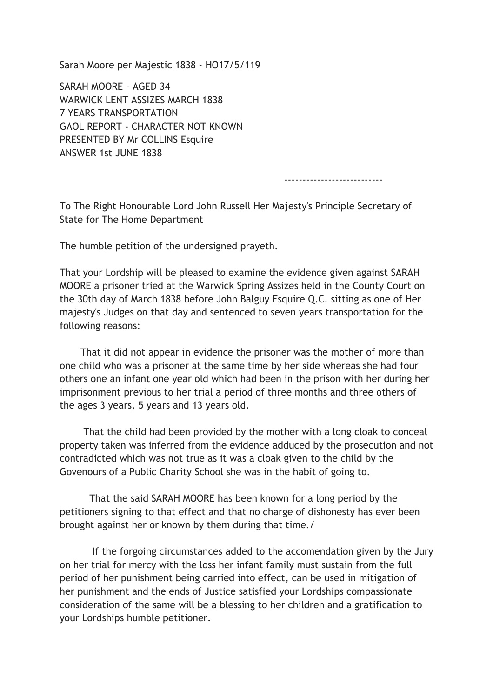Sarah Moore per Majestic 1838 - HO17/5/119

SARAH MOORE - AGED 34 WARWICK LENT ASSIZES MARCH 1838 7 YEARS TRANSPORTATION GAOL REPORT - CHARACTER NOT KNOWN PRESENTED BY Mr COLLINS Esquire ANSWER 1st JUNE 1838

---------------------------

To The Right Honourable Lord John Russell Her Majesty's Principle Secretary of State for The Home Department

The humble petition of the undersigned prayeth.

That your Lordship will be pleased to examine the evidence given against SARAH MOORE a prisoner tried at the Warwick Spring Assizes held in the County Court on the 30th day of March 1838 before John Balguy Esquire Q.C. sitting as one of Her majesty's Judges on that day and sentenced to seven years transportation for the following reasons:

 That it did not appear in evidence the prisoner was the mother of more than one child who was a prisoner at the same time by her side whereas she had four others one an infant one year old which had been in the prison with her during her imprisonment previous to her trial a period of three months and three others of the ages 3 years, 5 years and 13 years old.

 That the child had been provided by the mother with a long cloak to conceal property taken was inferred from the evidence adduced by the prosecution and not contradicted which was not true as it was a cloak given to the child by the Govenours of a Public Charity School she was in the habit of going to.

 That the said SARAH MOORE has been known for a long period by the petitioners signing to that effect and that no charge of dishonesty has ever been brought against her or known by them during that time./

 If the forgoing circumstances added to the accomendation given by the Jury on her trial for mercy with the loss her infant family must sustain from the full period of her punishment being carried into effect, can be used in mitigation of her punishment and the ends of Justice satisfied your Lordships compassionate consideration of the same will be a blessing to her children and a gratification to your Lordships humble petitioner.